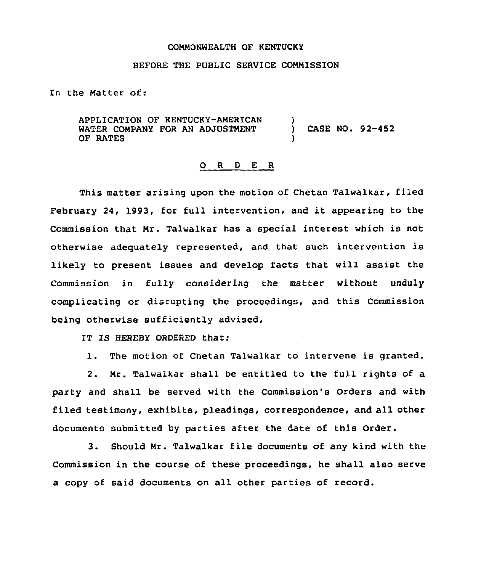## COMMONWEALTH OF KENTUCKY

## BEFORE THE PUBLIC SERVICE COMMISSION

In the Matter of:

APPLICATION OF KENTUCKY-AMERICAN WATER COMPANY FOR AN ADJUSTMENT OF RATES ) ) CASE NO. 92-452 )

## 0 <sup>R</sup> <sup>D</sup> <sup>E</sup> <sup>R</sup>

This matter arising upon the motion of Chetan Talwalkar, filed February 24, 1993, for full intervention, and it appearing to the Commission that Mr. Talwalkar has a special interest which is not otherwise adequately represented, and that such intervention is likely to present issues and develop facts that will assist the Commission in fully considering the matter without unduly complicating or disrupting the proceedings, and this Commission being otherwise sufficiently advised,

IT IS HEREBY ORDERED that:

1. The motion of Chetan Talwalkar to intervene is granted.

2. Mr. Talwalkar shall be entitled to the full rights of a party and shall be served with the Commission's Orders and with filed testimony, exhibits, pleadings, correspondence, and all other documents submitted by parties after the date of this Order.

3. Should Mr. Talwalkar file documents of any kind with the Commission in the course of these proceedings, he shall also serve a copy of said documents on all other parties of record.